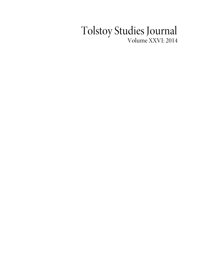## Tolstoy Studies Journal Volume XXVI: 2014